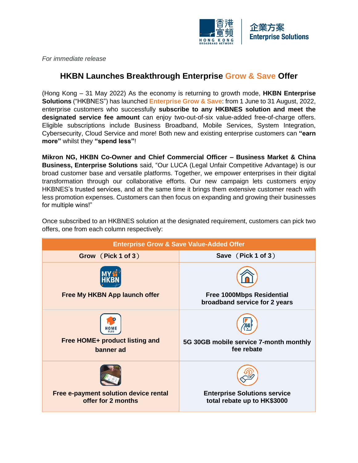

*For immediate release*

# **HKBN Launches Breakthrough Enterprise Grow & Save Offer**

(Hong Kong – 31 May 2022) As the economy is returning to growth mode, **HKBN Enterprise Solutions** ("HKBNES") has launched **Enterprise Grow & Save**: from 1 June to 31 August, 2022, enterprise customers who successfully **subscribe to any HKBNES solution and meet the designated service fee amount** can enjoy two-out-of-six value-added free-of-charge offers. Eligible subscriptions include Business Broadband, Mobile Services, System Integration, Cybersecurity, Cloud Service and more! Both new and existing enterprise customers can **"earn more"** whilst they **"spend less"**!

**Mikron NG, HKBN Co-Owner and Chief Commercial Officer – Business Market & China Business, Enterprise Solutions** said, "Our LUCA (Legal Unfair Competitive Advantage) is our broad customer base and versatile platforms. Together, we empower enterprises in their digital transformation through our collaborative efforts. Our new campaign lets customers enjoy HKBNES's trusted services, and at the same time it brings them extensive customer reach with less promotion expenses. Customers can then focus on expanding and growing their businesses for multiple wins!"

| <b>Enterprise Grow &amp; Save Value-Added Offer</b>         |                                                                    |
|-------------------------------------------------------------|--------------------------------------------------------------------|
| Grow (Pick 1 of 3)                                          | Save (Pick 1 of 3)                                                 |
|                                                             |                                                                    |
| Free My HKBN App launch offer                               | <b>Free 1000Mbps Residential</b><br>broadband service for 2 years  |
| <b>HOME</b><br>Free HOME+ product listing and<br>banner ad  | 5G 30GB mobile service 7-month monthly<br>fee rebate               |
| Free e-payment solution device rental<br>offer for 2 months | <b>Enterprise Solutions service</b><br>total rebate up to HK\$3000 |

Once subscribed to an HKBNES solution at the designated requirement, customers can pick two offers, one from each column respectively: